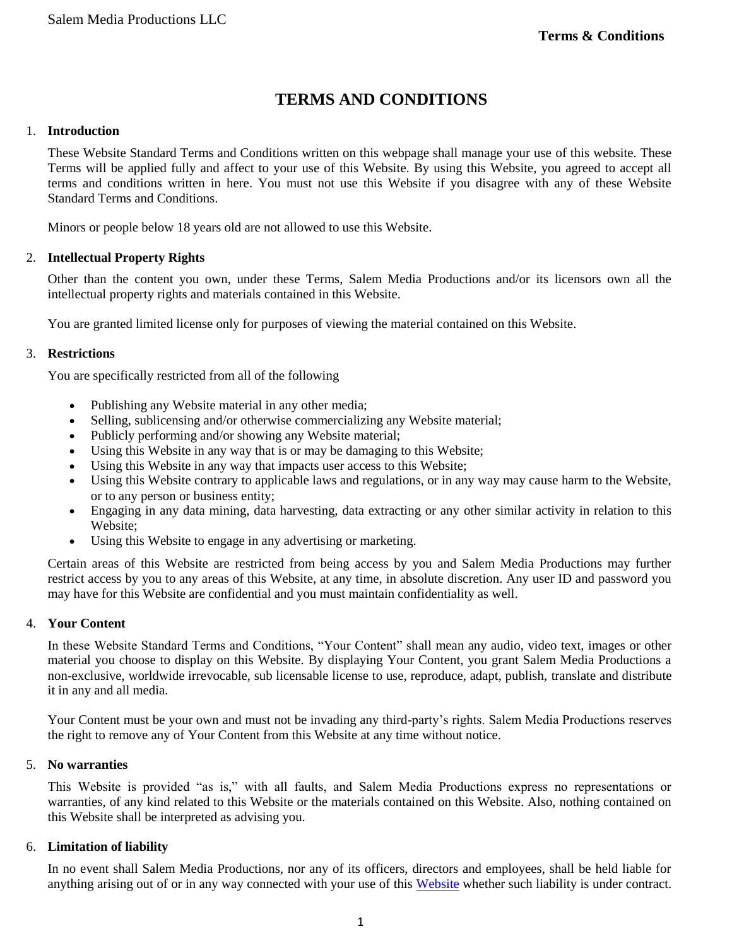# **TERMS AND CONDITIONS**

## 1. **Introduction**

These Website Standard Terms and Conditions written on this webpage shall manage your use of this website. These Terms will be applied fully and affect to your use of this Website. By using this Website, you agreed to accept all terms and conditions written in here. You must not use this Website if you disagree with any of these Website Standard Terms and Conditions.

Minors or people below 18 years old are not allowed to use this Website.

## 2. **Intellectual Property Rights**

Other than the content you own, under these Terms, Salem Media Productions and/or its licensors own all the intellectual property rights and materials contained in this Website.

You are granted limited license only for purposes of viewing the material contained on this Website.

#### 3. **Restrictions**

You are specifically restricted from all of the following

- Publishing any Website material in any other media;
- Selling, sublicensing and/or otherwise commercializing any Website material;
- Publicly performing and/or showing any Website material;
- Using this Website in any way that is or may be damaging to this Website;
- Using this Website in any way that impacts user access to this Website;
- Using this Website contrary to applicable laws and regulations, or in any way may cause harm to the Website, or to any person or business entity;
- Engaging in any data mining, data harvesting, data extracting or any other similar activity in relation to this Website;
- Using this Website to engage in any advertising or marketing.

Certain areas of this Website are restricted from being access by you and Salem Media Productions may further restrict access by you to any areas of this Website, at any time, in absolute discretion. Any user ID and password you may have for this Website are confidential and you must maintain confidentiality as well.

## 4. **Your Content**

In these Website Standard Terms and Conditions, "Your Content" shall mean any audio, video text, images or other material you choose to display on this Website. By displaying Your Content, you grant Salem Media Productions a non-exclusive, worldwide irrevocable, sub licensable license to use, reproduce, adapt, publish, translate and distribute it in any and all media.

Your Content must be your own and must not be invading any third-party's rights. Salem Media Productions reserves the right to remove any of Your Content from this Website at any time without notice.

#### 5. **No warranties**

This Website is provided "as is," with all faults, and Salem Media Productions express no representations or warranties, of any kind related to this Website or the materials contained on this Website. Also, nothing contained on this Website shall be interpreted as advising you.

## 6. **Limitation of liability**

In no event shall Salem Media Productions, nor any of its officers, directors and employees, shall be held liable for anything arising out of or in any way connected with your use of this [Website](https://freedirectorysubmissionsites.com/) whether such liability is under contract.